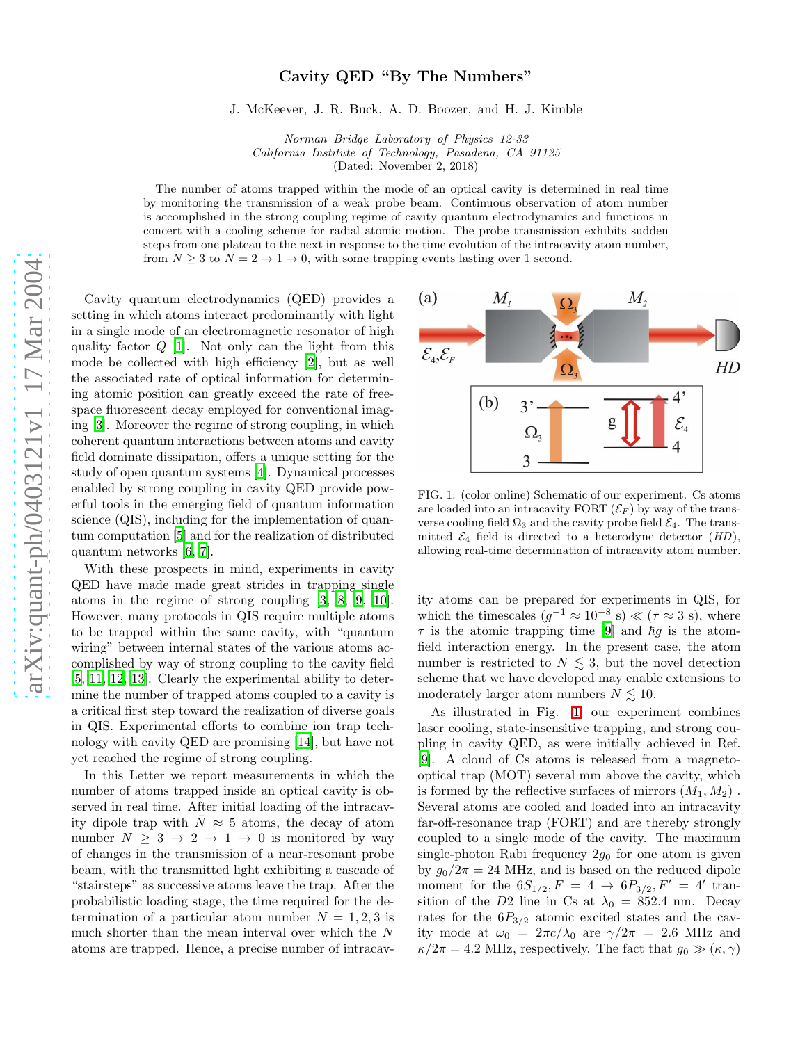## arXiv:quant-ph/0403121v1 17 Mar 2004 [arXiv:quant-ph/0403121v1 17 Mar 2004](http://arxiv.org/abs/quant-ph/0403121v1)

## Cavity QED "By The Numbers"

J. McKeever, J. R. Buck, A. D. Boozer, and H. J. Kimble

Norman Bridge Laboratory of Physics 12-33 California Institute of Technology, Pasadena, CA 91125 (Dated: November 2, 2018)

The number of atoms trapped within the mode of an optical cavity is determined in real time by monitoring the transmission of a weak probe beam. Continuous observation of atom number is accomplished in the strong coupling regime of cavity quantum electrodynamics and functions in concert with a cooling scheme for radial atomic motion. The probe transmission exhibits sudden steps from one plateau to the next in response to the time evolution of the intracavity atom number, from  $N \geq 3$  to  $N = 2 \rightarrow 1 \rightarrow 0$ , with some trapping events lasting over 1 second.

Cavity quantum electrodynamics (QED) provides a setting in which atoms interact predominantly with light in a single mode of an electromagnetic resonator of high quality factor Q [\[1\]](#page-3-0). Not only can the light from this mode be collected with high efficiency [\[2\]](#page-3-1), but as well the associated rate of optical information for determining atomic position can greatly exceed the rate of freespace fluorescent decay employed for conventional imaging [\[3\]](#page-3-2). Moreover the regime of strong coupling, in which coherent quantum interactions between atoms and cavity field dominate dissipation, offers a unique setting for the study of open quantum systems [\[4](#page-3-3)]. Dynamical processes enabled by strong coupling in cavity QED provide powerful tools in the emerging field of quantum information science (QIS), including for the implementation of quantum computation [\[5](#page-3-4)] and for the realization of distributed quantum networks [\[6,](#page-3-5) [7\]](#page-3-6).

With these prospects in mind, experiments in cavity QED have made made great strides in trapping single atoms in the regime of strong coupling [\[3,](#page-3-2) [8](#page-3-7), [9](#page-3-8), [10\]](#page-3-9). However, many protocols in QIS require multiple atoms to be trapped within the same cavity, with "quantum wiring" between internal states of the various atoms accomplished by way of strong coupling to the cavity field [\[5,](#page-3-4) [11,](#page-3-10) [12,](#page-3-11) [13\]](#page-3-12). Clearly the experimental ability to determine the number of trapped atoms coupled to a cavity is a critical first step toward the realization of diverse goals in QIS. Experimental efforts to combine ion trap technology with cavity QED are promising [\[14\]](#page-3-13), but have not yet reached the regime of strong coupling.

In this Letter we report measurements in which the number of atoms trapped inside an optical cavity is observed in real time. After initial loading of the intracavity dipole trap with  $\bar{N} \approx 5$  atoms, the decay of atom number  $N \geq 3 \rightarrow 2 \rightarrow 1 \rightarrow 0$  is monitored by way of changes in the transmission of a near-resonant probe beam, with the transmitted light exhibiting a cascade of "stairsteps" as successive atoms leave the trap. After the probabilistic loading stage, the time required for the determination of a particular atom number  $N = 1, 2, 3$  is much shorter than the mean interval over which the N atoms are trapped. Hence, a precise number of intracav-



<span id="page-0-0"></span>FIG. 1: (color online) Schematic of our experiment. Cs atoms are loaded into an intracavity FORT  $(\mathcal{E}_F)$  by way of the transverse cooling field  $\Omega_3$  and the cavity probe field  $\mathcal{E}_4$ . The transmitted  $\mathcal{E}_4$  field is directed to a heterodyne detector  $(HD)$ , allowing real-time determination of intracavity atom number.

ity atoms can be prepared for experiments in QIS, for which the timescales  $(g^{-1} \approx 10^{-8} \text{ s}) \ll (\tau \approx 3 \text{ s})$ , where  $\tau$  is the atomic trapping time [\[9\]](#page-3-8) and  $\hbar g$  is the atomfield interaction energy. In the present case, the atom number is restricted to  $N \lesssim 3$ , but the novel detection scheme that we have developed may enable extensions to moderately larger atom numbers  $N \lesssim 10$ .

As illustrated in Fig. [1,](#page-0-0) our experiment combines laser cooling, state-insensitive trapping, and strong coupling in cavity QED, as were initially achieved in Ref. [\[9\]](#page-3-8). A cloud of Cs atoms is released from a magnetooptical trap (MOT) several mm above the cavity, which is formed by the reflective surfaces of mirrors  $(M_1, M_2)$ . Several atoms are cooled and loaded into an intracavity far-off-resonance trap (FORT) and are thereby strongly coupled to a single mode of the cavity. The maximum single-photon Rabi frequency  $2g_0$  for one atom is given by  $g_0/2\pi = 24$  MHz, and is based on the reduced dipole moment for the  $6S_{1/2}$ ,  $F = 4 \rightarrow 6P_{3/2}$ ,  $F' = 4'$  transition of the D2 line in Cs at  $\lambda_0 = 852.4$  nm. Decay rates for the  $6P_{3/2}$  atomic excited states and the cavity mode at  $\omega_0 = 2\pi c/\lambda_0$  are  $\gamma/2\pi = 2.6$  MHz and  $\kappa/2\pi = 4.2$  MHz, respectively. The fact that  $g_0 \gg (\kappa, \gamma)$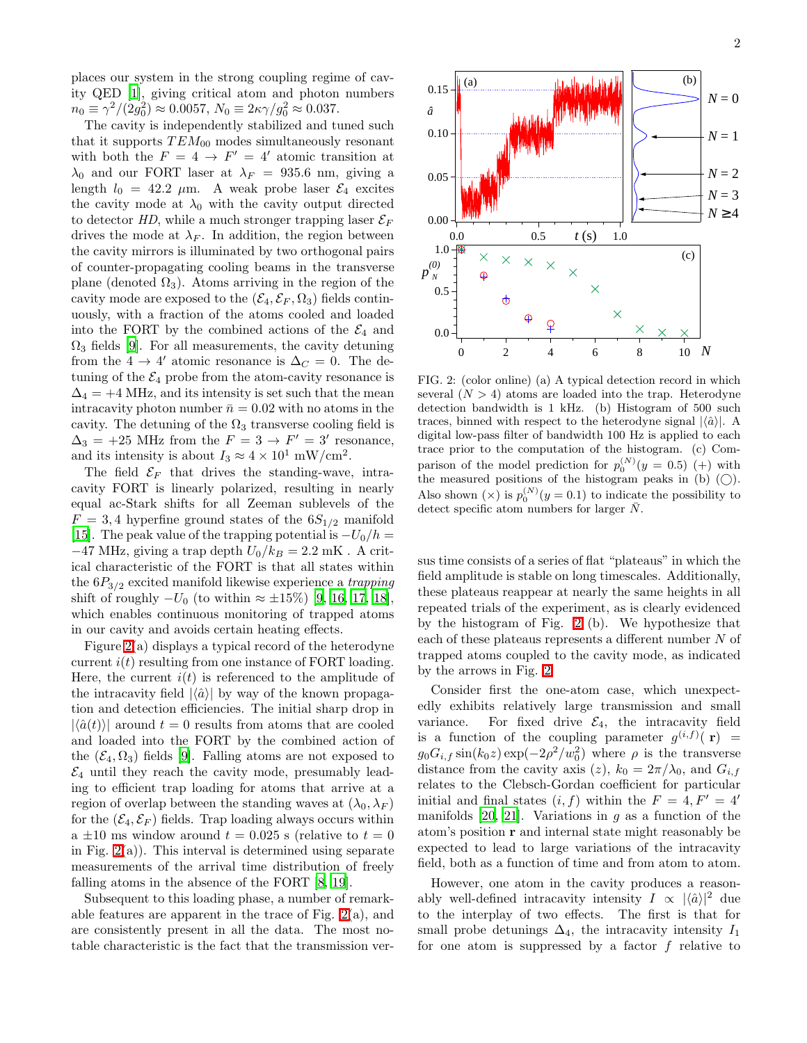places our system in the strong coupling regime of cavity QED [\[1\]](#page-3-0), giving critical atom and photon numbers  $n_0 \equiv \gamma^2/(2g_0^2) \approx 0.0057, N_0 \equiv 2\kappa \gamma/g_0^2 \approx 0.037.$ 

The cavity is independently stabilized and tuned such that it supports  $TEM_{00}$  modes simultaneously resonant with both the  $F = 4 \rightarrow F' = 4'$  atomic transition at  $\lambda_0$  and our FORT laser at  $\lambda_F = 935.6$  nm, giving a length  $l_0 = 42.2 \mu m$ . A weak probe laser  $\mathcal{E}_4$  excites the cavity mode at  $\lambda_0$  with the cavity output directed to detector HD, while a much stronger trapping laser  $\mathcal{E}_F$ drives the mode at  $\lambda_F$ . In addition, the region between the cavity mirrors is illuminated by two orthogonal pairs of counter-propagating cooling beams in the transverse plane (denoted  $\Omega_3$ ). Atoms arriving in the region of the cavity mode are exposed to the  $(\mathcal{E}_4, \mathcal{E}_F, \Omega_3)$  fields continuously, with a fraction of the atoms cooled and loaded into the FORT by the combined actions of the  $\mathcal{E}_4$  and  $\Omega_3$  fields [\[9\]](#page-3-8). For all measurements, the cavity detuning from the 4  $\rightarrow$  4' atomic resonance is  $\Delta_C = 0$ . The detuning of the  $\mathcal{E}_4$  probe from the atom-cavity resonance is  $\Delta_4$  = +4 MHz, and its intensity is set such that the mean intracavity photon number  $\bar{n} = 0.02$  with no atoms in the cavity. The detuning of the  $\Omega_3$  transverse cooling field is  $\Delta_3 = +25$  MHz from the  $F = 3 \rightarrow F' = 3'$  resonance, and its intensity is about  $I_3 \approx 4 \times 10^1$  mW/cm<sup>2</sup>.

The field  $\mathcal{E}_F$  that drives the standing-wave, intracavity FORT is linearly polarized, resulting in nearly equal ac-Stark shifts for all Zeeman sublevels of the  $F = 3, 4$  hyperfine ground states of the  $6S_{1/2}$  manifold [\[15\]](#page-3-14). The peak value of the trapping potential is  $-U_0/h =$  $-47$  MHz, giving a trap depth  $U_0/k_B = 2.2$  mK. A critical characteristic of the FORT is that all states within the  $6P_{3/2}$  excited manifold likewise experience a trapping shift of roughly  $-U_0$  (to within  $\approx \pm 15\%$ ) [\[9](#page-3-8), [16](#page-4-0), [17,](#page-4-1) [18\]](#page-4-2), which enables continuous monitoring of trapped atoms in our cavity and avoids certain heating effects.

Figure [2\(](#page-1-0)a) displays a typical record of the heterodyne current  $i(t)$  resulting from one instance of FORT loading. Here, the current  $i(t)$  is referenced to the amplitude of the intracavity field  $|\langle \hat{a} \rangle|$  by way of the known propagation and detection efficiencies. The initial sharp drop in  $|\langle \hat{a}(t) \rangle|$  around  $t = 0$  results from atoms that are cooled and loaded into the FORT by the combined action of the  $(\mathcal{E}_4, \Omega_3)$  fields [\[9\]](#page-3-8). Falling atoms are not exposed to  $\mathcal{E}_4$  until they reach the cavity mode, presumably leading to efficient trap loading for atoms that arrive at a region of overlap between the standing waves at  $(\lambda_0, \lambda_F)$ for the  $(\mathcal{E}_4, \mathcal{E}_F)$  fields. Trap loading always occurs within a  $\pm 10$  ms window around  $t = 0.025$  s (relative to  $t = 0$ in Fig.  $2(a)$ ). This interval is determined using separate measurements of the arrival time distribution of freely falling atoms in the absence of the FORT [\[8](#page-3-7), [19](#page-4-3)].

Subsequent to this loading phase, a number of remarkable features are apparent in the trace of Fig. [2\(](#page-1-0)a), and are consistently present in all the data. The most notable characteristic is the fact that the transmission ver-



<span id="page-1-0"></span>FIG. 2: (color online) (a) A typical detection record in which several  $(N > 4)$  atoms are loaded into the trap. Heterodyne detection bandwidth is 1 kHz. (b) Histogram of 500 such traces, binned with respect to the heterodyne signal  $|\langle \hat{a} \rangle|$ . A digital low-pass filter of bandwidth 100 Hz is applied to each trace prior to the computation of the histogram. (c) Comparison of the model prediction for  $p_0^{(N)}(y=0.5)$  (+) with the measured positions of the histogram peaks in (b)  $\left(\bigcirc\right)$ . Also shown  $(x)$  is  $p_0^{(N)}(y=0.1)$  to indicate the possibility to detect specific atom numbers for larger  $\bar{N}$ .

sus time consists of a series of flat "plateaus" in which the field amplitude is stable on long timescales. Additionally, these plateaus reappear at nearly the same heights in all repeated trials of the experiment, as is clearly evidenced by the histogram of Fig. [2](#page-1-0) (b). We hypothesize that each of these plateaus represents a different number N of trapped atoms coupled to the cavity mode, as indicated by the arrows in Fig. [2.](#page-1-0)

Consider first the one-atom case, which unexpectedly exhibits relatively large transmission and small variance. For fixed drive  $\mathcal{E}_4$ , the intracavity field is a function of the coupling parameter  $g^{(i,f)}(r)$  =  $g_0G_{i,f}\sin(k_0z)\exp(-2\rho^2/w_0^2)$  where  $\rho$  is the transverse distance from the cavity axis (z),  $k_0 = 2\pi/\lambda_0$ , and  $G_{i,f}$ relates to the Clebsch-Gordan coefficient for particular initial and final states  $(i, f)$  within the  $F = 4, F' = 4'$ manifolds  $[20, 21]$  $[20, 21]$ . Variations in g as a function of the atom's position r and internal state might reasonably be expected to lead to large variations of the intracavity field, both as a function of time and from atom to atom.

However, one atom in the cavity produces a reasonably well-defined intracavity intensity  $I \propto |\langle \hat{a} \rangle|^2$  due to the interplay of two effects. The first is that for small probe detunings  $\Delta_4$ , the intracavity intensity  $I_1$ for one atom is suppressed by a factor  $f$  relative to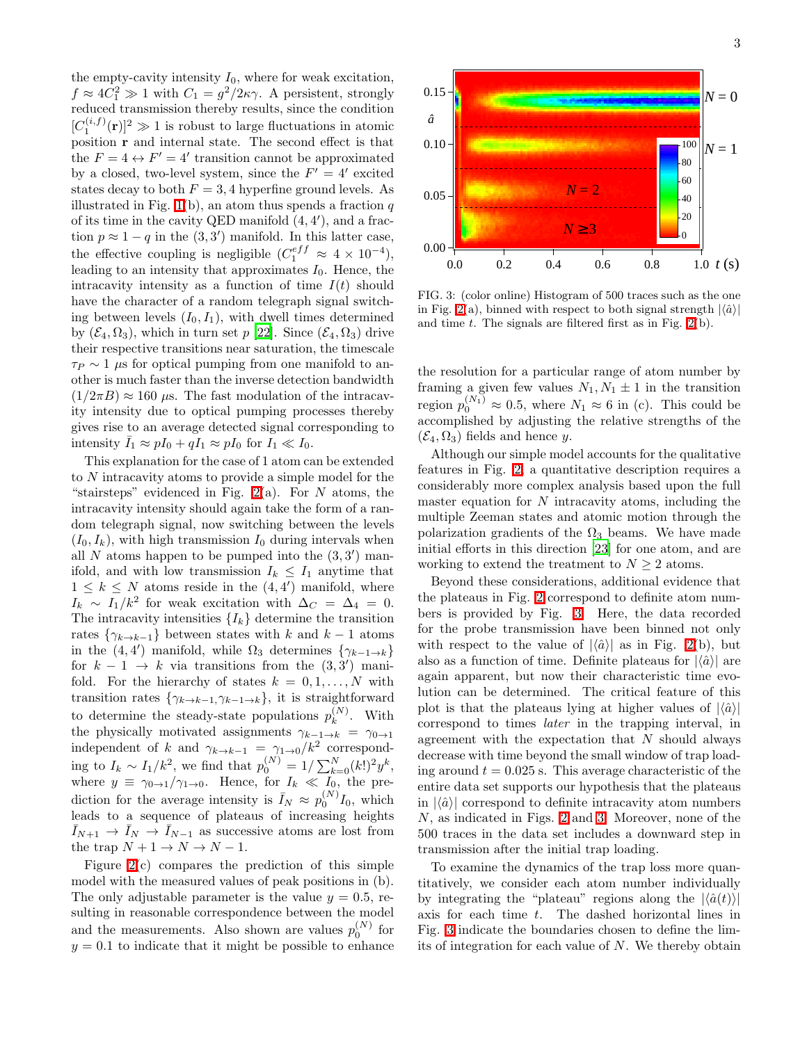the empty-cavity intensity  $I_0$ , where for weak excitation,  $f \approx 4C_1^2 \gg 1$  with  $C_1 = g^2/2\kappa\gamma$ . A persistent, strongly reduced transmission thereby results, since the condition  $[C_1^{(i,f)}(\mathbf{r})]^2 \gg 1$  is robust to large fluctuations in atomic position r and internal state. The second effect is that the  $F = 4 \leftrightarrow F' = 4'$  transition cannot be approximated by a closed, two-level system, since the  $F' = 4'$  excited states decay to both  $F = 3, 4$  hyperfine ground levels. As illustrated in Fig.  $1(b)$ , an atom thus spends a fraction q of its time in the cavity QED manifold  $(4, 4')$ , and a fraction  $p \approx 1 - q$  in the  $(3, 3')$  manifold. In this latter case, the effective coupling is negligible  $(C_1^{eff} \approx 4 \times 10^{-4}),$ leading to an intensity that approximates  $I_0$ . Hence, the intracavity intensity as a function of time  $I(t)$  should have the character of a random telegraph signal switching between levels  $(I_0, I_1)$ , with dwell times determined by  $(\mathcal{E}_4, \Omega_3)$ , which in turn set p [\[22](#page-4-6)]. Since  $(\mathcal{E}_4, \Omega_3)$  drive their respective transitions near saturation, the timescale  $\tau_P \sim 1$  µs for optical pumping from one manifold to another is much faster than the inverse detection bandwidth  $(1/2\pi B) \approx 160 \mu s$ . The fast modulation of the intracavity intensity due to optical pumping processes thereby gives rise to an average detected signal corresponding to intensity  $\overline{I}_1 \approx pI_0 + qI_1 \approx pI_0$  for  $I_1 \ll I_0$ .

This explanation for the case of 1 atom can be extended to N intracavity atoms to provide a simple model for the "stairsteps" evidenced in Fig.  $2(a)$ . For N atoms, the intracavity intensity should again take the form of a random telegraph signal, now switching between the levels  $(I_0, I_k)$ , with high transmission  $I_0$  during intervals when all N atoms happen to be pumped into the  $(3,3')$  manifold, and with low transmission  $I_k \n\t\leq I_1$  anytime that  $1 \leq k \leq N$  atoms reside in the  $(4,4')$  manifold, where  $I_k \sim I_1/k^2$  for weak excitation with  $\Delta_C = \Delta_4 = 0$ . The intracavity intensities  $\{I_k\}$  determine the transition rates  $\{\gamma_{k\to k-1}\}$  between states with k and  $k-1$  atoms in the  $(4, 4')$  manifold, while  $\Omega_3$  determines  $\{\gamma_{k-1\to k}\}$ for  $k - 1 \rightarrow k$  via transitions from the  $(3, 3')$  manifold. For the hierarchy of states  $k = 0, 1, \ldots, N$  with transition rates  $\{\gamma_{k\to k-1}, \gamma_{k-1\to k}\}\$ , it is straightforward to determine the steady-state populations  $p_k^{(N)}$  $\binom{N}{k}$ . With the physically motivated assignments  $\gamma_{k-1\to k} = \gamma_{0\to 1}$ independent of k and  $\gamma_{k\to k-1} = \gamma_{1\to 0}/k^2$  corresponding to  $I_k \sim I_1/k^2$ , we find that  $p_0^{(N)} = 1/\sum_{k=0}^{N} (k!)^2 y^k$ , where  $y \equiv \gamma_{0\rightarrow 1}/\gamma_{1\rightarrow 0}$ . Hence, for  $I_k \ll I_0$ , the prediction for the average intensity is  $\bar{I}_N \approx p_0^{(N)} I_0$ , which leads to a sequence of plateaus of increasing heights  $\overline{I}_{N+1} \to \overline{I}_N \to \overline{I}_{N-1}$  as successive atoms are lost from the trap  $N + 1 \rightarrow N \rightarrow N - 1$ .

Figure [2\(](#page-1-0)c) compares the prediction of this simple model with the measured values of peak positions in (b). The only adjustable parameter is the value  $y = 0.5$ , resulting in reasonable correspondence between the model and the measurements. Also shown are values  $p_0^{(N)}$  for  $y = 0.1$  to indicate that it might be possible to enhance



<span id="page-2-0"></span>FIG. 3: (color online) Histogram of 500 traces such as the one in Fig. [2\(](#page-1-0)a), binned with respect to both signal strength  $|\langle \hat{a} \rangle|$ and time  $t$ . The signals are filtered first as in Fig.  $2(b)$ .

the resolution for a particular range of atom number by framing a given few values  $N_1, N_1 \pm 1$  in the transition region  $p_0^{(N_1)} \approx 0.5$ , where  $N_1 \approx 6$  in (c). This could be accomplished by adjusting the relative strengths of the  $(\mathcal{E}_4, \Omega_3)$  fields and hence y.

Although our simple model accounts for the qualitative features in Fig. [2,](#page-1-0) a quantitative description requires a considerably more complex analysis based upon the full master equation for  $N$  intracavity atoms, including the multiple Zeeman states and atomic motion through the polarization gradients of the  $\Omega_3$  beams. We have made initial efforts in this direction [\[23\]](#page-4-7) for one atom, and are working to extend the treatment to  $N \geq 2$  atoms.

Beyond these considerations, additional evidence that the plateaus in Fig. [2](#page-1-0) correspond to definite atom numbers is provided by Fig. [3.](#page-2-0) Here, the data recorded for the probe transmission have been binned not only with respect to the value of  $|\langle \hat{a} \rangle|$  as in Fig. [2\(](#page-1-0)b), but also as a function of time. Definite plateaus for  $|\langle \hat{a} \rangle|$  are again apparent, but now their characteristic time evolution can be determined. The critical feature of this plot is that the plateaus lying at higher values of  $|\langle \hat{a} \rangle|$ correspond to times later in the trapping interval, in agreement with the expectation that  $N$  should always decrease with time beyond the small window of trap loading around  $t = 0.025$  s. This average characteristic of the entire data set supports our hypothesis that the plateaus in  $|\langle \hat{a} \rangle|$  correspond to definite intracavity atom numbers N, as indicated in Figs. [2](#page-1-0) and [3.](#page-2-0) Moreover, none of the 500 traces in the data set includes a downward step in transmission after the initial trap loading.

To examine the dynamics of the trap loss more quantitatively, we consider each atom number individually by integrating the "plateau" regions along the  $|\langle \hat{a}(t) \rangle|$ axis for each time t. The dashed horizontal lines in Fig. [3](#page-2-0) indicate the boundaries chosen to define the limits of integration for each value of  $N$ . We thereby obtain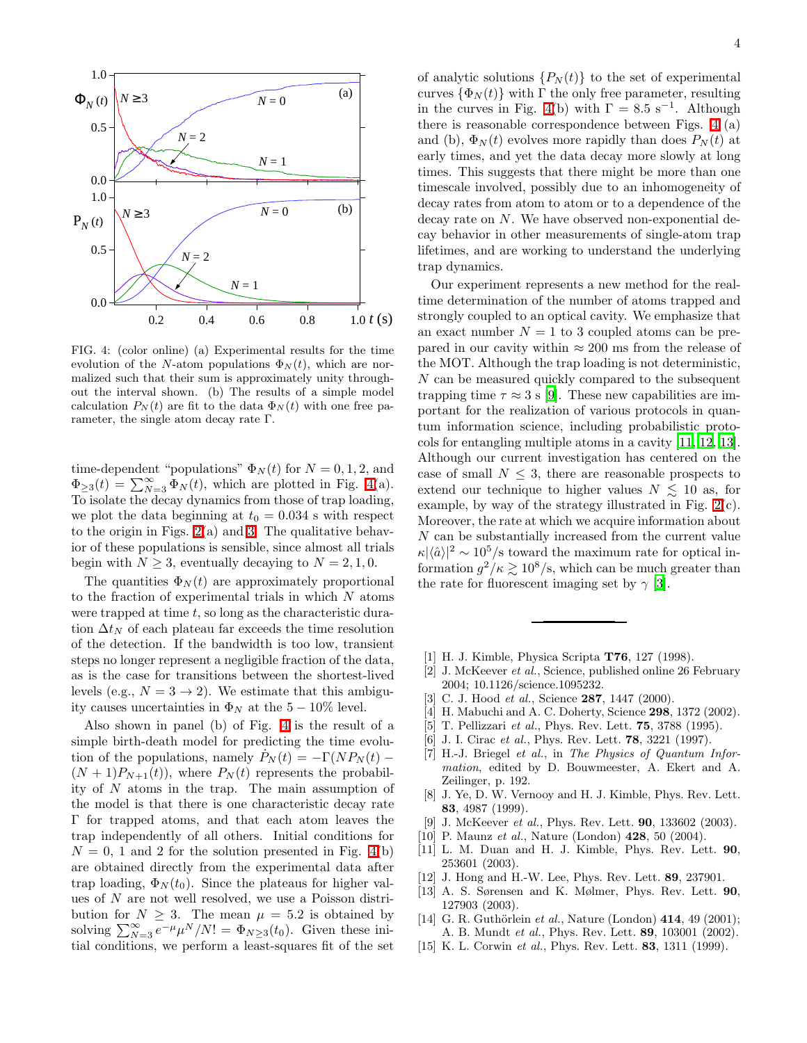

<span id="page-3-15"></span>FIG. 4: (color online) (a) Experimental results for the time evolution of the N-atom populations  $\Phi_N(t)$ , which are normalized such that their sum is approximately unity throughout the interval shown. (b) The results of a simple model calculation  $P_N(t)$  are fit to the data  $\Phi_N(t)$  with one free parameter, the single atom decay rate Γ.

time-dependent "populations"  $\Phi_N(t)$  for  $N = 0, 1, 2$ , and  $\Phi_{\geq 3}(t) = \sum_{N=3}^{\infty} \Phi_N(t)$ , which are plotted in Fig. [4\(](#page-3-15)a). To isolate the decay dynamics from those of trap loading, we plot the data beginning at  $t_0 = 0.034$  s with respect to the origin in Figs.  $2(a)$  and [3.](#page-2-0) The qualitative behavior of these populations is sensible, since almost all trials begin with  $N > 3$ , eventually decaying to  $N = 2, 1, 0$ .

The quantities  $\Phi_N(t)$  are approximately proportional to the fraction of experimental trials in which N atoms were trapped at time  $t$ , so long as the characteristic duration  $\Delta t_N$  of each plateau far exceeds the time resolution of the detection. If the bandwidth is too low, transient steps no longer represent a negligible fraction of the data, as is the case for transitions between the shortest-lived levels (e.g.,  $N = 3 \rightarrow 2$ ). We estimate that this ambiguity causes uncertainties in  $\Phi_N$  at the 5 – 10% level.

Also shown in panel (b) of Fig. [4](#page-3-15) is the result of a simple birth-death model for predicting the time evolution of the populations, namely  $P_N(t) = -\Gamma(NP_N(t))$  $(N+1)P_{N+1}(t)$ , where  $P_N(t)$  represents the probability of  $N$  atoms in the trap. The main assumption of the model is that there is one characteristic decay rate Γ for trapped atoms, and that each atom leaves the trap independently of all others. Initial conditions for  $N = 0$ , 1 and 2 for the solution presented in Fig. [4\(](#page-3-15)b) are obtained directly from the experimental data after trap loading,  $\Phi_N(t_0)$ . Since the plateaus for higher values of N are not well resolved, we use a Poisson distribution for  $N \geq 3$ . The mean  $\mu = 5.2$  is obtained by solving  $\sum_{N=3}^{\infty} e^{-\mu} \mu^N/N! = \Phi_{N\geq 3}(t_0)$ . Given these initial conditions, we perform a least-squares fit of the set

of analytic solutions  $\{P_N(t)\}\)$  to the set of experimental curves  $\{\Phi_N(t)\}\$  with  $\Gamma$  the only free parameter, resulting in the curves in Fig. [4\(](#page-3-15)b) with  $\Gamma = 8.5 \text{ s}^{-1}$ . Although there is reasonable correspondence between Figs. [4](#page-3-15) (a) and (b),  $\Phi_N(t)$  evolves more rapidly than does  $P_N(t)$  at early times, and yet the data decay more slowly at long times. This suggests that there might be more than one timescale involved, possibly due to an inhomogeneity of decay rates from atom to atom or to a dependence of the decay rate on N. We have observed non-exponential decay behavior in other measurements of single-atom trap lifetimes, and are working to understand the underlying trap dynamics.

Our experiment represents a new method for the realtime determination of the number of atoms trapped and strongly coupled to an optical cavity. We emphasize that an exact number  $N = 1$  to 3 coupled atoms can be prepared in our cavity within  $\approx 200$  ms from the release of the MOT. Although the trap loading is not deterministic, N can be measured quickly compared to the subsequent trapping time  $\tau \approx 3$  s [\[9\]](#page-3-8). These new capabilities are important for the realization of various protocols in quantum information science, including probabilistic protocols for entangling multiple atoms in a cavity [\[11,](#page-3-10) [12,](#page-3-11) [13\]](#page-3-12). Although our current investigation has centered on the case of small  $N \leq 3$ , there are reasonable prospects to extend our technique to higher values  $N \leq 10$  as, for example, by way of the strategy illustrated in Fig. [2\(](#page-1-0)c). Moreover, the rate at which we acquire information about N can be substantially increased from the current value  $\kappa|\langle \hat{a}\rangle|^2 \sim 10^5$ /s toward the maximum rate for optical information  $g^2/\kappa \gtrsim 10^8/\text{s}$ , which can be much greater than the rate for fluorescent imaging set by  $\gamma$  [\[3](#page-3-2)].

- <span id="page-3-0"></span>[1] H. J. Kimble, Physica Scripta T76, 127 (1998).
- <span id="page-3-1"></span>[2] J. McKeever et al., Science, published online 26 February 2004; 10.1126/science.1095232.
- <span id="page-3-3"></span><span id="page-3-2"></span>[3] C. J. Hood *et al.*, Science **287**, 1447 (2000).
- [4] H. Mabuchi and A. C. Doherty, Science **298**, 1372 (2002).
- <span id="page-3-4"></span>[5] T. Pellizzari *et al.*, Phys. Rev. Lett. **75**, 3788 (1995).
- <span id="page-3-5"></span>[6] J. I. Cirac et al., Phys. Rev. Lett. **78**, 3221 (1997).
- <span id="page-3-6"></span>[7] H.-J. Briegel et al., in The Physics of Quantum Information, edited by D. Bouwmeester, A. Ekert and A. Zeilinger, p. 192.
- <span id="page-3-7"></span>[8] J. Ye, D. W. Vernooy and H. J. Kimble, Phys. Rev. Lett. 83, 4987 (1999).
- [9] J. McKeever et al., Phys. Rev. Lett. **90**, 133602 (2003).
- <span id="page-3-9"></span><span id="page-3-8"></span>[10] P. Maunz *et al.*, Nature (London) **428**, 50 (2004).
- <span id="page-3-10"></span>[11] L. M. Duan and H. J. Kimble, Phys. Rev. Lett. 90, 253601 (2003).
- <span id="page-3-11"></span>[12] J. Hong and H.-W. Lee, Phys. Rev. Lett. 89, 237901.
- <span id="page-3-12"></span>[13] A. S. Sørensen and K. Mølmer, Phys. Rev. Lett. 90, 127903 (2003).
- <span id="page-3-13"></span>[14] G. R. Guthörlein et al., Nature (London)  $414, 49$  (2001); A. B. Mundt et al., Phys. Rev. Lett. 89, 103001 (2002).
- <span id="page-3-14"></span>[15] K. L. Corwin et al., Phys. Rev. Lett. **83**, 1311 (1999).